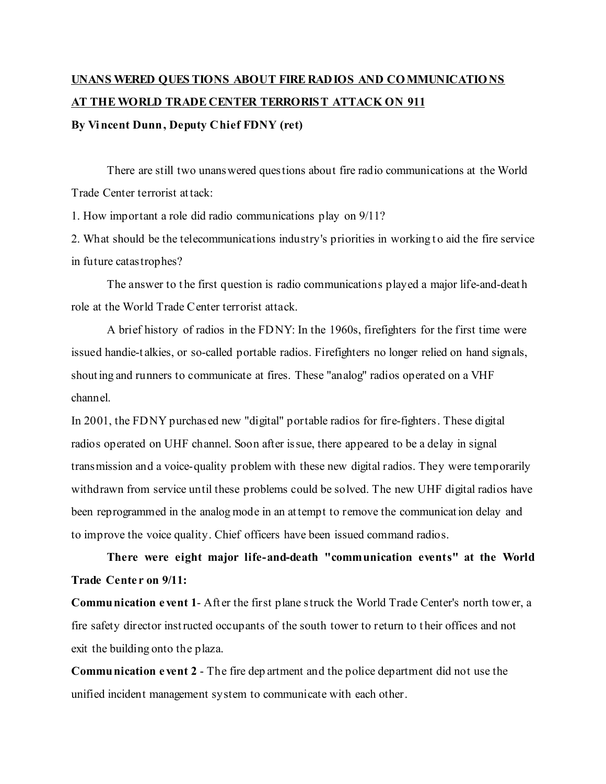## **UNANS WERED QUES TIONS ABOUT FIRE RADIOS AND COMMUNICATIONS AT THEWORLD TRADE CENTER TERRORIST ATTACK ON 911 By Vincent Dunn, Deputy Chief FDNY (ret)**

There are still two unanswered questions about fire radio communications at the World Trade Center terrorist attack:

1. How important a role did radio communications play on 9/11?

2. What should be the telecommunications industry's priorities in working to aid the fire service in future catastrophes?

The answer to the first question is radio communications played a major life-and-death role at the World Trade Center terrorist attack.

A brief history of radios in the FDNY: In the 1960s, firefighters for the first time were issued handie-t alkies, or so-called portable radios. Firefighters no longer relied on hand signals, shouting and runners to communicate at fires. These "analog" radios operated on a VHF channel.

In 2001, the FDNY purchased new "digital" portable radios for fire-fighters. These digital radios operated on UHF channel. Soon after issue, there appeared to be a delay in signal transmission and a voice-quality problem with these new digital radios. They were temporarily withdrawn from service until these problems could be solved. The new UHF digital radios have been reprogrammed in the analog mode in an attempt to remove the communication delay and to improve the voice quality. Chief officers have been issued command radios.

**There were eight major life-and-death "communication events" at the World Trade Cente r on 9/11:**

**Communication e vent 1**- Aft er the first plane struck the World Trade Center's north tower, a fire safety director instructed occupants of the south tower to return to t heir offices and not exit the building onto the plaza.

**Communication e vent 2** - The fire dep artment and the police department did not use the unified incident management system to communicate with each other.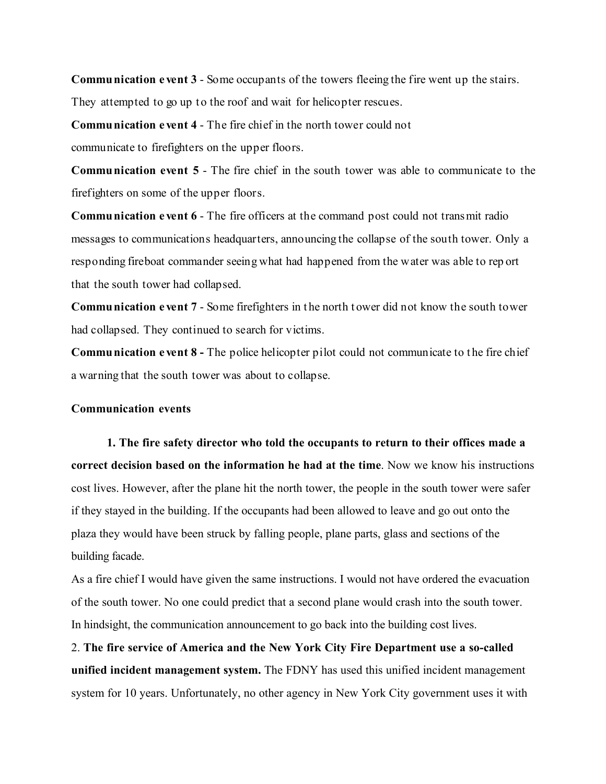**Communication e vent 3** - Some occupants of the towers fleeing the fire went up the stairs.

They attempted to go up to the roof and wait for helicopter rescues.

**Communication e vent 4** - The fire chief in the north tower could not

communicate to firefighters on the upper floors.

**Communication event 5** - The fire chief in the south tower was able to communicate to the firefighters on some of the upper floors.

**Communication e vent 6** - The fire officers at the command post could not transmit radio messages to communications headquarters, announcing the collapse of the south tower. Only a responding fireboat commander seeing what had happened from the water was able to rep ort that the south tower had collapsed.

**Communication e vent 7** - Some firefighters in t he north t ower did not know the south tower had collapsed. They continued to search for victims.

**Communication e vent 8 -** The police helicopter pilot could not communicate to t he fire chief a warning that the south tower was about to collapse.

## **Communication events**

**1. The fire safety director who told the occupants to return to their offices made a correct decision based on the information he had at the time**. Now we know his instructions cost lives. However, after the plane hit the north tower, the people in the south tower were safer if they stayed in the building. If the occupants had been allowed to leave and go out onto the plaza they would have been struck by falling people, plane parts, glass and sections of the building facade.

As a fire chief I would have given the same instructions. I would not have ordered the evacuation of the south tower. No one could predict that a second plane would crash into the south tower. In hindsight, the communication announcement to go back into the building cost lives.

2. **The fire service of America and the New York City Fire Department use a so-called unified incident management system.** The FDNY has used this unified incident management system for 10 years. Unfortunately, no other agency in New York City government uses it with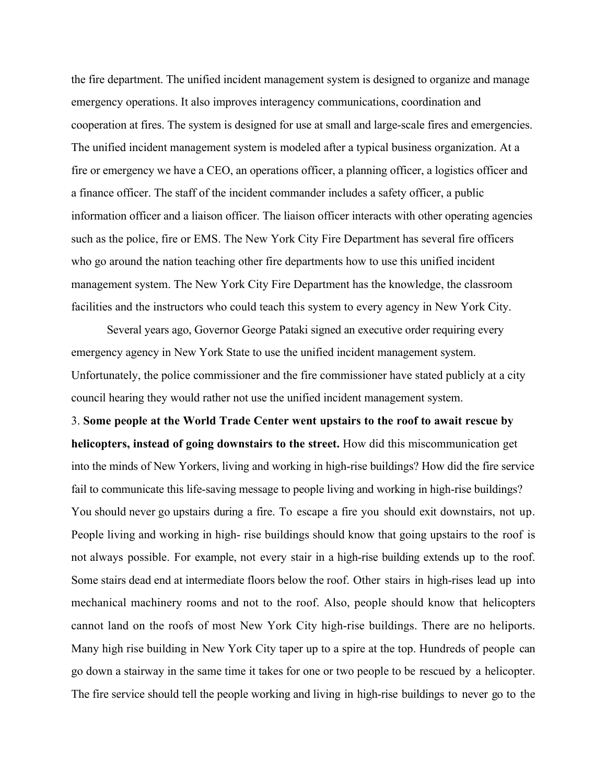the fire department. The unified incident management system is designed to organize and manage emergency operations. It also improves interagency communications, coordination and cooperation at fires. The system is designed for use at small and large-scale fires and emergencies. The unified incident management system is modeled after a typical business organization. At a fire or emergency we have a CEO, an operations officer, a planning officer, a logistics officer and a finance officer. The staff of the incident commander includes a safety officer, a public information officer and a liaison officer. The liaison officer interacts with other operating agencies such as the police, fire or EMS. The New York City Fire Department has several fire officers who go around the nation teaching other fire departments how to use this unified incident management system. The New York City Fire Department has the knowledge, the classroom facilities and the instructors who could teach this system to every agency in New York City.

Several years ago, Governor George Pataki signed an executive order requiring every emergency agency in New York State to use the unified incident management system. Unfortunately, the police commissioner and the fire commissioner have stated publicly at a city council hearing they would rather not use the unified incident management system.

3. **Some people at the World Trade Center went upstairs to the roof to await rescue by helicopters, instead of going downstairs to the street.** How did this miscommunication get into the minds of New Yorkers, living and working in high-rise buildings? How did the fire service fail to communicate this life-saving message to people living and working in high-rise buildings? You should never go upstairs during a fire. To escape a fire you should exit downstairs, not up. People living and working in high- rise buildings should know that going upstairs to the roof is not always possible. For example, not every stair in a high-rise building extends up to the roof. Some stairs dead end at intermediate floors below the roof. Other stairs in high-rises lead up into mechanical machinery rooms and not to the roof. Also, people should know that helicopters cannot land on the roofs of most New York City high-rise buildings. There are no heliports. Many high rise building in New York City taper up to a spire at the top. Hundreds of people can go down a stairway in the same time it takes for one or two people to be rescued by a helicopter. The fire service should tell the people working and living in high-rise buildings to never go to the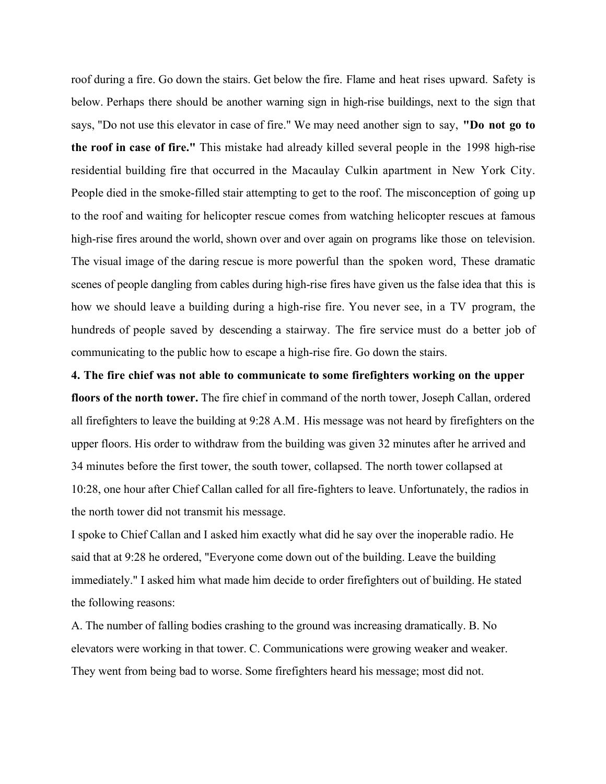roof during a fire. Go down the stairs. Get below the fire. Flame and heat rises upward. Safety is below. Perhaps there should be another warning sign in high-rise buildings, next to the sign that says, "Do not use this elevator in case of fire." We may need another sign to say, **"Do not go to the roof in case of fire."** This mistake had already killed several people in the 1998 high-rise residential building fire that occurred in the Macaulay Culkin apartment in New York City. People died in the smoke-filled stair attempting to get to the roof. The misconception of going up to the roof and waiting for helicopter rescue comes from watching helicopter rescues at famous high-rise fires around the world, shown over and over again on programs like those on television. The visual image of the daring rescue is more powerful than the spoken word, These dramatic scenes of people dangling from cables during high-rise fires have given us the false idea that this is how we should leave a building during a high-rise fire. You never see, in a TV program, the hundreds of people saved by descending a stairway. The fire service must do a better job of communicating to the public how to escape a high-rise fire. Go down the stairs.

**4. The fire chief was not able to communicate to some firefighters working on the upper floors of the north tower.** The fire chief in command of the north tower, Joseph Callan, ordered all firefighters to leave the building at 9:28 A.M. His message was not heard by firefighters on the upper floors. His order to withdraw from the building was given 32 minutes after he arrived and 34 minutes before the first tower, the south tower, collapsed. The north tower collapsed at 10:28, one hour after Chief Callan called for all fire-fighters to leave. Unfortunately, the radios in the north tower did not transmit his message.

I spoke to Chief Callan and I asked him exactly what did he say over the inoperable radio. He said that at 9:28 he ordered, "Everyone come down out of the building. Leave the building immediately." I asked him what made him decide to order firefighters out of building. He stated the following reasons:

A. The number of falling bodies crashing to the ground was increasing dramatically. B. No elevators were working in that tower. C. Communications were growing weaker and weaker. They went from being bad to worse. Some firefighters heard his message; most did not.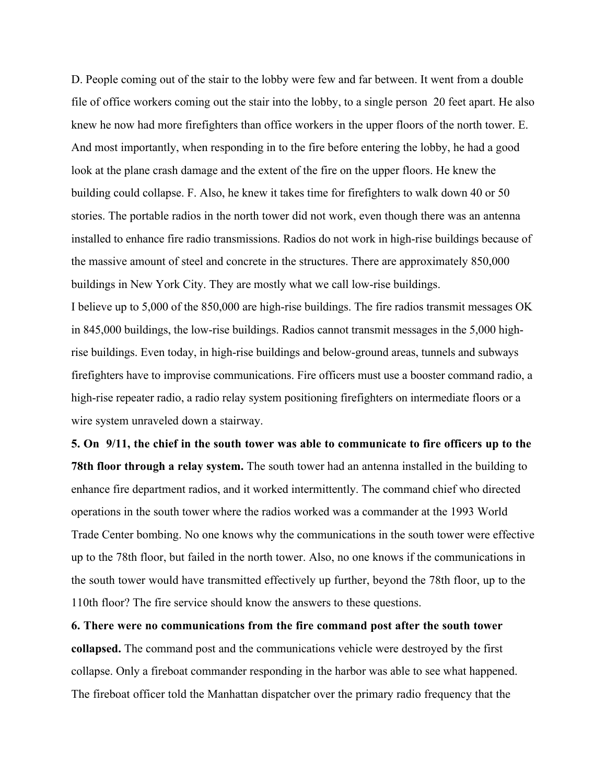D. People coming out of the stair to the lobby were few and far between. It went from a double file of office workers coming out the stair into the lobby, to a single person 20 feet apart. He also knew he now had more firefighters than office workers in the upper floors of the north tower. E. And most importantly, when responding in to the fire before entering the lobby, he had a good look at the plane crash damage and the extent of the fire on the upper floors. He knew the building could collapse. F. Also, he knew it takes time for firefighters to walk down 40 or 50 stories. The portable radios in the north tower did not work, even though there was an antenna installed to enhance fire radio transmissions. Radios do not work in high-rise buildings because of the massive amount of steel and concrete in the structures. There are approximately 850,000 buildings in New York City. They are mostly what we call low-rise buildings. I believe up to 5,000 of the 850,000 are high-rise buildings. The fire radios transmit messages OK in 845,000 buildings, the low-rise buildings. Radios cannot transmit messages in the 5,000 highrise buildings. Even today, in high-rise buildings and below-ground areas, tunnels and subways firefighters have to improvise communications. Fire officers must use a booster command radio, a high-rise repeater radio, a radio relay system positioning firefighters on intermediate floors or a wire system unraveled down a stairway.

**5. On 9/11, the chief in the south tower was able to communicate to fire officers up to the 78th floor through a relay system.** The south tower had an antenna installed in the building to enhance fire department radios, and it worked intermittently. The command chief who directed operations in the south tower where the radios worked was a commander at the 1993 World Trade Center bombing. No one knows why the communications in the south tower were effective up to the 78th floor, but failed in the north tower. Also, no one knows if the communications in the south tower would have transmitted effectively up further, beyond the 78th floor, up to the 110th floor? The fire service should know the answers to these questions.

**6. There were no communications from the fire command post after the south tower collapsed.** The command post and the communications vehicle were destroyed by the first collapse. Only a fireboat commander responding in the harbor was able to see what happened. The fireboat officer told the Manhattan dispatcher over the primary radio frequency that the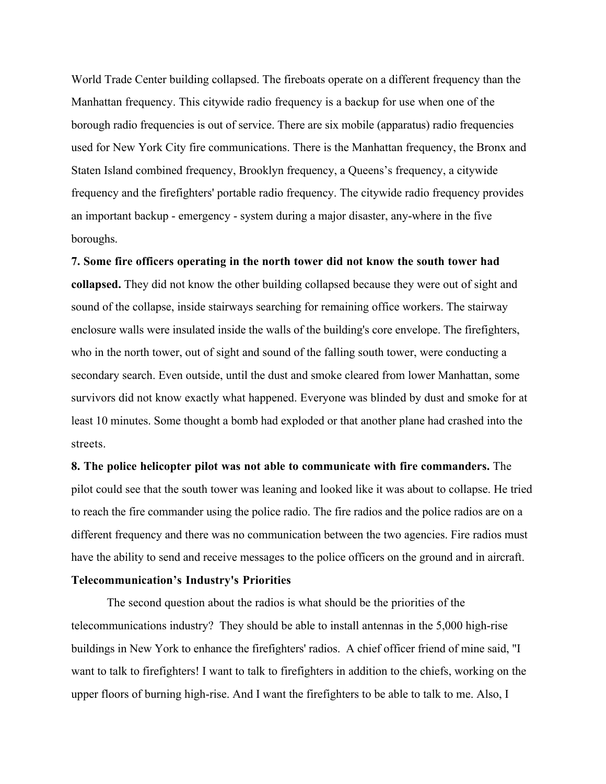World Trade Center building collapsed. The fireboats operate on a different frequency than the Manhattan frequency. This citywide radio frequency is a backup for use when one of the borough radio frequencies is out of service. There are six mobile (apparatus) radio frequencies used for New York City fire communications. There is the Manhattan frequency, the Bronx and Staten Island combined frequency, Brooklyn frequency, a Queens's frequency, a citywide frequency and the firefighters' portable radio frequency. The citywide radio frequency provides an important backup - emergency - system during a major disaster, any-where in the five boroughs.

**7. Some fire officers operating in the north tower did not know the south tower had collapsed.** They did not know the other building collapsed because they were out of sight and sound of the collapse, inside stairways searching for remaining office workers. The stairway enclosure walls were insulated inside the walls of the building's core envelope. The firefighters, who in the north tower, out of sight and sound of the falling south tower, were conducting a secondary search. Even outside, until the dust and smoke cleared from lower Manhattan, some survivors did not know exactly what happened. Everyone was blinded by dust and smoke for at least 10 minutes. Some thought a bomb had exploded or that another plane had crashed into the streets.

**8. The police helicopter pilot was not able to communicate with fire commanders.** The pilot could see that the south tower was leaning and looked like it was about to collapse. He tried to reach the fire commander using the police radio. The fire radios and the police radios are on a different frequency and there was no communication between the two agencies. Fire radios must have the ability to send and receive messages to the police officers on the ground and in aircraft.

## **Telecommunication's Industry's Priorities**

The second question about the radios is what should be the priorities of the telecommunications industry? They should be able to install antennas in the 5,000 high-rise buildings in New York to enhance the firefighters' radios. A chief officer friend of mine said, "I want to talk to firefighters! I want to talk to firefighters in addition to the chiefs, working on the upper floors of burning high-rise. And I want the firefighters to be able to talk to me. Also, I